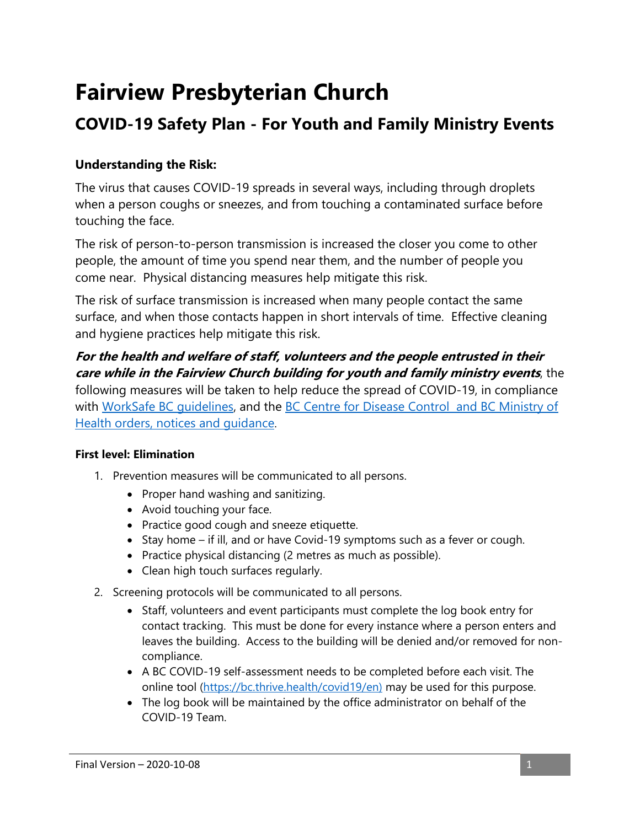# **Fairview Presbyterian Church**

## **COVID-19 Safety Plan - For Youth and Family Ministry Events**

### **Understanding the Risk:**

The virus that causes COVID-19 spreads in several ways, including through droplets when a person coughs or sneezes, and from touching a contaminated surface before touching the face.

The risk of person-to-person transmission is increased the closer you come to other people, the amount of time you spend near them, and the number of people you come near. Physical distancing measures help mitigate this risk.

The risk of surface transmission is increased when many people contact the same surface, and when those contacts happen in short intervals of time. Effective cleaning and hygiene practices help mitigate this risk.

**For the health and welfare of staff, volunteers and the people entrusted in their care while in the Fairview Church building for youth and family ministry events**, the following measures will be taken to help reduce the spread of COVID-19, in compliance with WorkSafe BC quidelines, and the BC Centre for Disease Control and BC Ministry of [Health orders, notices and guidance](https://www2.gov.bc.ca/gov/content/health/about-bc-s-health-care-system/office-of-the-provincial-health-officer/current-health-topics/covid-19-novel-coronavirus).

#### **First level: Elimination**

- 1. Prevention measures will be communicated to all persons.
	- Proper hand washing and sanitizing.
	- Avoid touching your face.
	- Practice good cough and sneeze etiquette.
	- Stay home if ill, and or have Covid-19 symptoms such as a fever or cough.
	- Practice physical distancing (2 metres as much as possible).
	- Clean high touch surfaces regularly.
- 2. Screening protocols will be communicated to all persons.
	- Staff, volunteers and event participants must complete the log book entry for contact tracking. This must be done for every instance where a person enters and leaves the building. Access to the building will be denied and/or removed for noncompliance.
	- A BC COVID-19 self-assessment needs to be completed before each visit. The online tool [\(https://bc.thrive.health/covid19/en\)](https://bc.thrive.health/covid19/en) may be used for this purpose.
	- The log book will be maintained by the office administrator on behalf of the COVID-19 Team.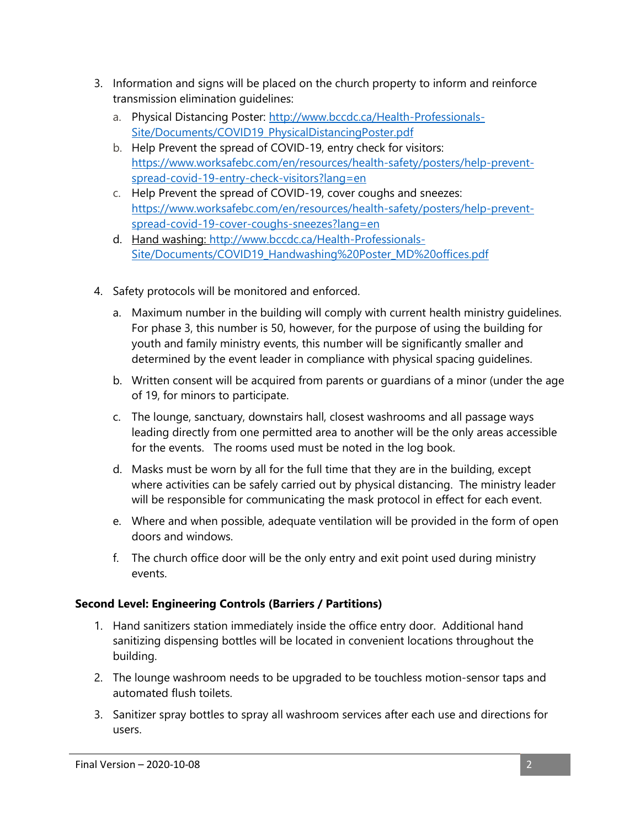- 3. Information and signs will be placed on the church property to inform and reinforce transmission elimination guidelines:
	- a. Physical Distancing Poster: [http://www.bccdc.ca/Health-Professionals-](http://www.bccdc.ca/Health-Professionals-Site/Documents/COVID19_PhysicalDistancingPoster.pdf)[Site/Documents/COVID19\\_PhysicalDistancingPoster.pdf](http://www.bccdc.ca/Health-Professionals-Site/Documents/COVID19_PhysicalDistancingPoster.pdf)
	- b. Help Prevent the spread of COVID-19, entry check for visitors: [https://www.worksafebc.com/en/resources/health-safety/posters/help-prevent](https://www.worksafebc.com/en/resources/health-safety/posters/help-prevent-spread-covid-19-entry-check-visitors?lang=en)[spread-covid-19-entry-check-visitors?lang=en](https://www.worksafebc.com/en/resources/health-safety/posters/help-prevent-spread-covid-19-entry-check-visitors?lang=en)
	- c. Help Prevent the spread of COVID-19, cover coughs and sneezes: [https://www.worksafebc.com/en/resources/health-safety/posters/help-prevent](https://www.worksafebc.com/en/resources/health-safety/posters/help-prevent-spread-covid-19-cover-coughs-sneezes?lang=en)[spread-covid-19-cover-coughs-sneezes?lang=en](https://www.worksafebc.com/en/resources/health-safety/posters/help-prevent-spread-covid-19-cover-coughs-sneezes?lang=en)
	- d. Hand washing: [http://www.bccdc.ca/Health-Professionals-](http://www.bccdc.ca/Health-Professionals-Site/Documents/COVID19_Handwashing%20Poster_MD%20offices.pdf)[Site/Documents/COVID19\\_Handwashing%20Poster\\_MD%20offices.pdf](http://www.bccdc.ca/Health-Professionals-Site/Documents/COVID19_Handwashing%20Poster_MD%20offices.pdf)
- 4. Safety protocols will be monitored and enforced.
	- a. Maximum number in the building will comply with current health ministry guidelines. For phase 3, this number is 50, however, for the purpose of using the building for youth and family ministry events, this number will be significantly smaller and determined by the event leader in compliance with physical spacing guidelines.
	- b. Written consent will be acquired from parents or guardians of a minor (under the age of 19, for minors to participate.
	- c. The lounge, sanctuary, downstairs hall, closest washrooms and all passage ways leading directly from one permitted area to another will be the only areas accessible for the events. The rooms used must be noted in the log book.
	- d. Masks must be worn by all for the full time that they are in the building, except where activities can be safely carried out by physical distancing. The ministry leader will be responsible for communicating the mask protocol in effect for each event.
	- e. Where and when possible, adequate ventilation will be provided in the form of open doors and windows.
	- f. The church office door will be the only entry and exit point used during ministry events.

#### **Second Level: Engineering Controls (Barriers / Partitions)**

- 1. Hand sanitizers station immediately inside the office entry door. Additional hand sanitizing dispensing bottles will be located in convenient locations throughout the building.
- 2. The lounge washroom needs to be upgraded to be touchless motion-sensor taps and automated flush toilets.
- 3. Sanitizer spray bottles to spray all washroom services after each use and directions for users.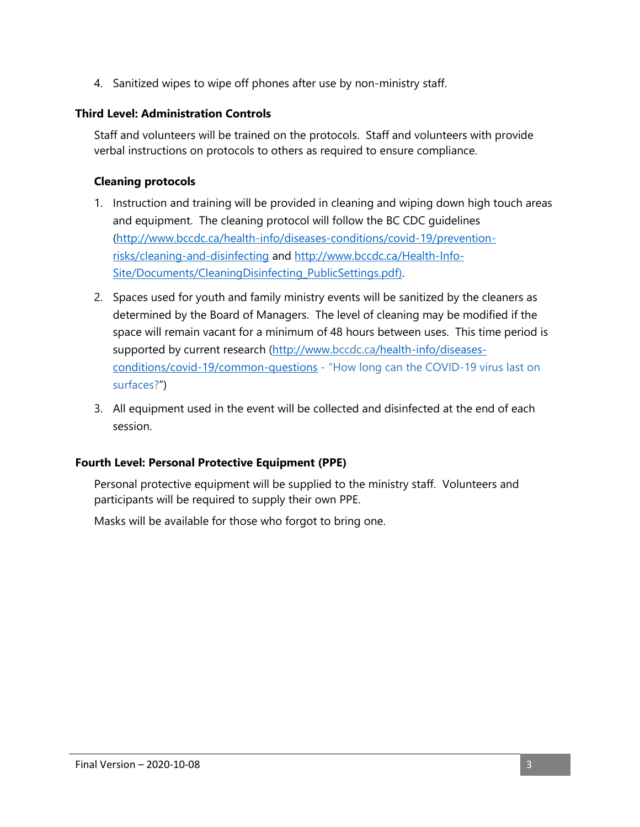4. Sanitized wipes to wipe off phones after use by non-ministry staff.

#### **Third Level: Administration Controls**

Staff and volunteers will be trained on the protocols. Staff and volunteers with provide verbal instructions on protocols to others as required to ensure compliance.

#### **Cleaning protocols**

- 1. Instruction and training will be provided in cleaning and wiping down high touch areas and equipment. The cleaning protocol will follow the BC CDC guidelines [\(http://www.bccdc.ca/health-info/diseases-conditions/covid-19/prevention](http://www.bccdc.ca/health-info/diseases-conditions/covid-19/prevention-risks/cleaning-and-disinfecting)[risks/cleaning-and-disinfecting](http://www.bccdc.ca/health-info/diseases-conditions/covid-19/prevention-risks/cleaning-and-disinfecting) and [http://www.bccdc.ca/Health-Info-](http://www.bccdc.ca/Health-Info-Site/Documents/CleaningDisinfecting_PublicSettings.pdf)[Site/Documents/CleaningDisinfecting\\_PublicSettings.pdf\)](http://www.bccdc.ca/Health-Info-Site/Documents/CleaningDisinfecting_PublicSettings.pdf).
- 2. Spaces used for youth and family ministry events will be sanitized by the cleaners as determined by the Board of Managers. The level of cleaning may be modified if the space will remain vacant for a minimum of 48 hours between uses. This time period is supported by current research [\(http://www.bccdc.ca/health-info/diseases](http://www.bccdc.ca/health-info/diseases-conditions/covid-19/common-questions)[conditions/covid-19/common-questions](http://www.bccdc.ca/health-info/diseases-conditions/covid-19/common-questions) - "[How long can the COVID-19 virus last on](http://www.bccdc.ca/health-info/diseases-conditions/covid-19/common-questions#3528)  [surfaces?](http://www.bccdc.ca/health-info/diseases-conditions/covid-19/common-questions#3528)")
- 3. All equipment used in the event will be collected and disinfected at the end of each session.

#### **Fourth Level: Personal Protective Equipment (PPE)**

Personal protective equipment will be supplied to the ministry staff. Volunteers and participants will be required to supply their own PPE.

Masks will be available for those who forgot to bring one.